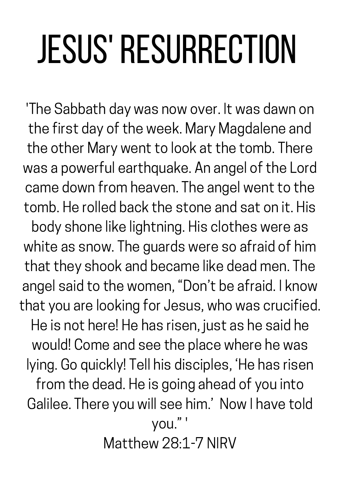## JESUS' RESURRECTION

'The Sabbath day was now over. It was dawn on the first day of the week. Mary Magdalene and the other Mary went to look at the tomb. There was a powerful earthquake. An angel of the Lord came down from heaven. The angel went to the tomb. He rolled back the stone and sat on it. His body shone like lightning. His clothes were as white as snow. The guards were so afraid of him that they shook and became like dead men. The angel said to the women, "Don 't be afraid. I know that you are looking for Jesus, who was crucified. He is not here! He has risen, just as he said he would! Come and see the place where he was lying. Go quickly! Tell his disciples, 'He has risen from the dead. He is going ahead of you into Galilee. There you will see him.' Now I have told you." ' Matthew 28:1-7 NIRV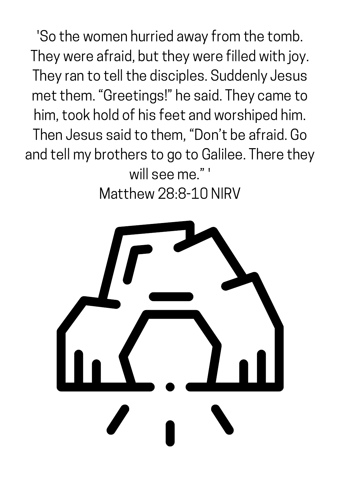'So the women hurried away from the tomb. They were afraid, but they were filled with joy. They ran to tell the disciples. Suddenly Jesus met them. "Greetings!" he said. They came to him, took hold of his feet and worshiped him. Then Jesus said to them, "Don 't be afraid. Go and tell my brothers to go to Galilee. There they will see me." '

Matthew 28:8-10 NIRV

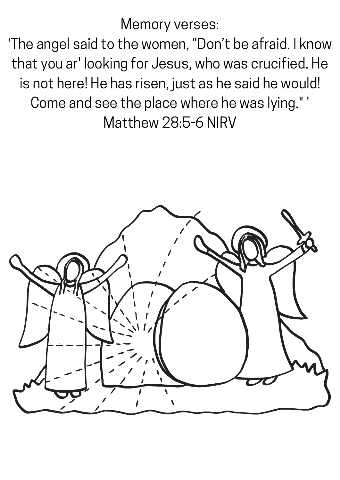Memory verses:

'The angel said to the women, "Don 't be afraid. I know that you ar' looking for Jesus, who was crucified. He is not here! He has risen, just as he said he would! Come and see the place where he was lying." ' Matthew 28:5-6 NIRV